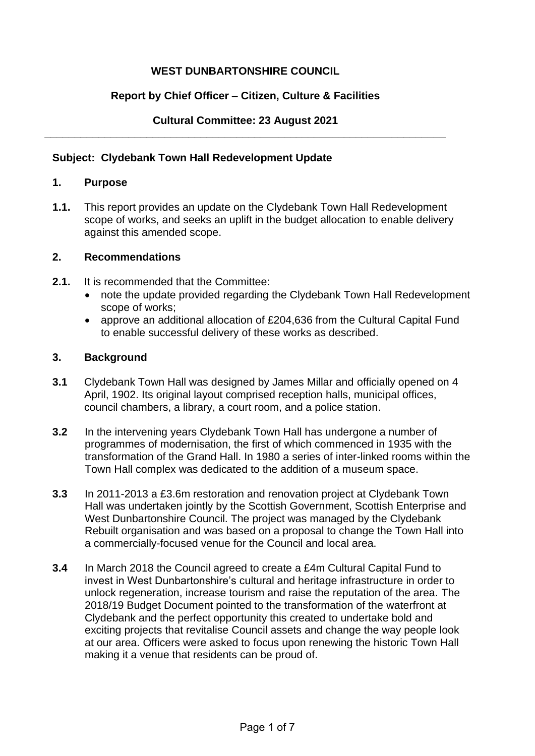# **WEST DUNBARTONSHIRE COUNCIL**

## **Report by Chief Officer – Citizen, Culture & Facilities**

#### **Cultural Committee: 23 August 2021 \_\_\_\_\_\_\_\_\_\_\_\_\_\_\_\_\_\_\_\_\_\_\_\_\_\_\_\_\_\_\_\_\_\_\_\_\_\_\_\_\_\_\_\_\_\_\_\_\_\_\_\_\_\_\_\_\_\_\_\_\_\_\_\_\_\_\_**

### **Subject: Clydebank Town Hall Redevelopment Update**

## **1. Purpose**

**1.1.** This report provides an update on the Clydebank Town Hall Redevelopment scope of works, and seeks an uplift in the budget allocation to enable delivery against this amended scope.

### **2. Recommendations**

- **2.1.** It is recommended that the Committee:
	- note the update provided regarding the Clydebank Town Hall Redevelopment scope of works;
	- approve an additional allocation of £204,636 from the Cultural Capital Fund to enable successful delivery of these works as described.

### **3. Background**

- **3.1** Clydebank Town Hall was designed by James Millar and officially opened on 4 April, 1902. Its original layout comprised reception halls, municipal offices, council chambers, a library, a court room, and a police station.
- **3.2** In the intervening years Clydebank Town Hall has undergone a number of programmes of modernisation, the first of which commenced in 1935 with the transformation of the Grand Hall. In 1980 a series of inter-linked rooms within the Town Hall complex was dedicated to the addition of a museum space.
- **3.3** In 2011-2013 a £3.6m restoration and renovation project at Clydebank Town Hall was undertaken jointly by the Scottish Government, Scottish Enterprise and West Dunbartonshire Council. The project was managed by the Clydebank Rebuilt organisation and was based on a proposal to change the Town Hall into a commercially-focused venue for the Council and local area.
- **3.4** In March 2018 the Council agreed to create a £4m Cultural Capital Fund to invest in West Dunbartonshire's cultural and heritage infrastructure in order to unlock regeneration, increase tourism and raise the reputation of the area. The 2018/19 Budget Document pointed to the transformation of the waterfront at Clydebank and the perfect opportunity this created to undertake bold and exciting projects that revitalise Council assets and change the way people look at our area. Officers were asked to focus upon renewing the historic Town Hall making it a venue that residents can be proud of.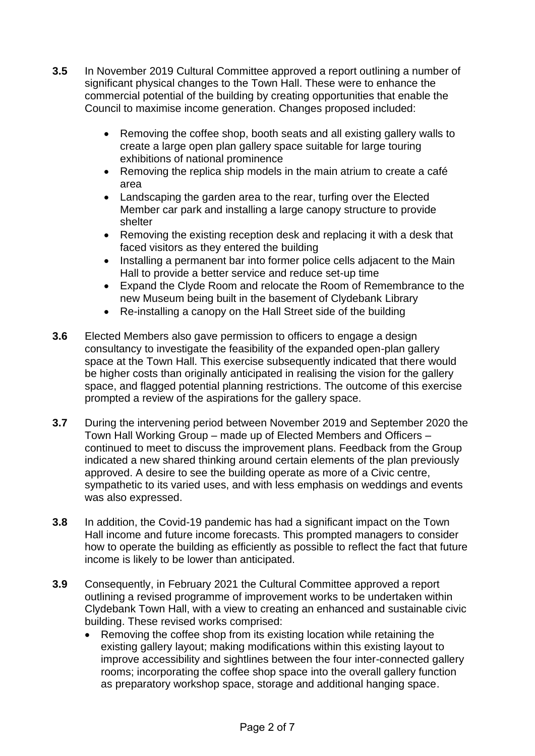- **3.5** In November 2019 Cultural Committee approved a report outlining a number of significant physical changes to the Town Hall. These were to enhance the commercial potential of the building by creating opportunities that enable the Council to maximise income generation. Changes proposed included:
	- Removing the coffee shop, booth seats and all existing gallery walls to create a large open plan gallery space suitable for large touring exhibitions of national prominence
	- Removing the replica ship models in the main atrium to create a café area
	- Landscaping the garden area to the rear, turfing over the Elected Member car park and installing a large canopy structure to provide shelter
	- Removing the existing reception desk and replacing it with a desk that faced visitors as they entered the building
	- Installing a permanent bar into former police cells adjacent to the Main Hall to provide a better service and reduce set-up time
	- Expand the Clyde Room and relocate the Room of Remembrance to the new Museum being built in the basement of Clydebank Library
	- Re-installing a canopy on the Hall Street side of the building
- **3.6** Elected Members also gave permission to officers to engage a design consultancy to investigate the feasibility of the expanded open-plan gallery space at the Town Hall. This exercise subsequently indicated that there would be higher costs than originally anticipated in realising the vision for the gallery space, and flagged potential planning restrictions. The outcome of this exercise prompted a review of the aspirations for the gallery space.
- **3.7** During the intervening period between November 2019 and September 2020 the Town Hall Working Group – made up of Elected Members and Officers – continued to meet to discuss the improvement plans. Feedback from the Group indicated a new shared thinking around certain elements of the plan previously approved. A desire to see the building operate as more of a Civic centre, sympathetic to its varied uses, and with less emphasis on weddings and events was also expressed.
- **3.8** In addition, the Covid-19 pandemic has had a significant impact on the Town Hall income and future income forecasts. This prompted managers to consider how to operate the building as efficiently as possible to reflect the fact that future income is likely to be lower than anticipated.
- **3.9** Consequently, in February 2021 the Cultural Committee approved a report outlining a revised programme of improvement works to be undertaken within Clydebank Town Hall, with a view to creating an enhanced and sustainable civic building. These revised works comprised:
	- Removing the coffee shop from its existing location while retaining the existing gallery layout; making modifications within this existing layout to improve accessibility and sightlines between the four inter-connected gallery rooms; incorporating the coffee shop space into the overall gallery function as preparatory workshop space, storage and additional hanging space.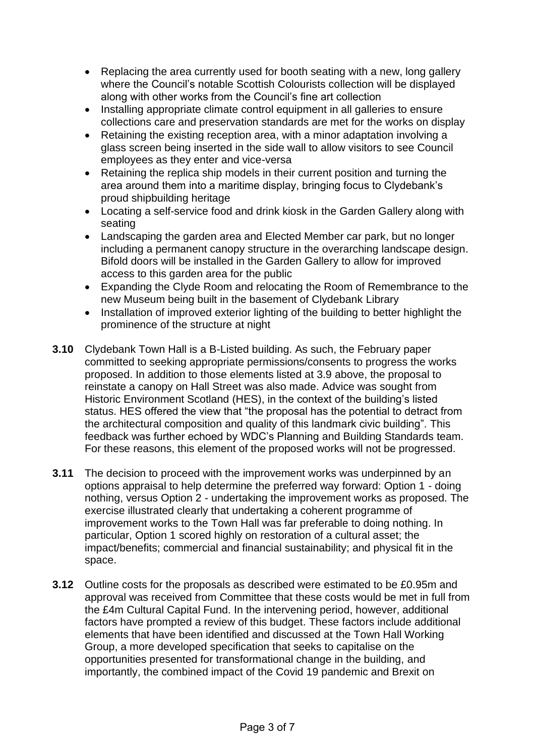- Replacing the area currently used for booth seating with a new, long gallery where the Council's notable Scottish Colourists collection will be displayed along with other works from the Council's fine art collection
- Installing appropriate climate control equipment in all galleries to ensure collections care and preservation standards are met for the works on display
- Retaining the existing reception area, with a minor adaptation involving a glass screen being inserted in the side wall to allow visitors to see Council employees as they enter and vice-versa
- Retaining the replica ship models in their current position and turning the area around them into a maritime display, bringing focus to Clydebank's proud shipbuilding heritage
- Locating a self-service food and drink kiosk in the Garden Gallery along with seating
- Landscaping the garden area and Elected Member car park, but no longer including a permanent canopy structure in the overarching landscape design. Bifold doors will be installed in the Garden Gallery to allow for improved access to this garden area for the public
- Expanding the Clyde Room and relocating the Room of Remembrance to the new Museum being built in the basement of Clydebank Library
- Installation of improved exterior lighting of the building to better highlight the prominence of the structure at night
- **3.10** Clydebank Town Hall is a B-Listed building. As such, the February paper committed to seeking appropriate permissions/consents to progress the works proposed. In addition to those elements listed at 3.9 above, the proposal to reinstate a canopy on Hall Street was also made. Advice was sought from Historic Environment Scotland (HES), in the context of the building's listed status. HES offered the view that "the proposal has the potential to detract from the architectural composition and quality of this landmark civic building". This feedback was further echoed by WDC's Planning and Building Standards team. For these reasons, this element of the proposed works will not be progressed.
- **3.11** The decision to proceed with the improvement works was underpinned by an options appraisal to help determine the preferred way forward: Option 1 - doing nothing, versus Option 2 - undertaking the improvement works as proposed. The exercise illustrated clearly that undertaking a coherent programme of improvement works to the Town Hall was far preferable to doing nothing. In particular, Option 1 scored highly on restoration of a cultural asset; the impact/benefits; commercial and financial sustainability; and physical fit in the space.
- **3.12** Outline costs for the proposals as described were estimated to be £0.95m and approval was received from Committee that these costs would be met in full from the £4m Cultural Capital Fund. In the intervening period, however, additional factors have prompted a review of this budget. These factors include additional elements that have been identified and discussed at the Town Hall Working Group, a more developed specification that seeks to capitalise on the opportunities presented for transformational change in the building, and importantly, the combined impact of the Covid 19 pandemic and Brexit on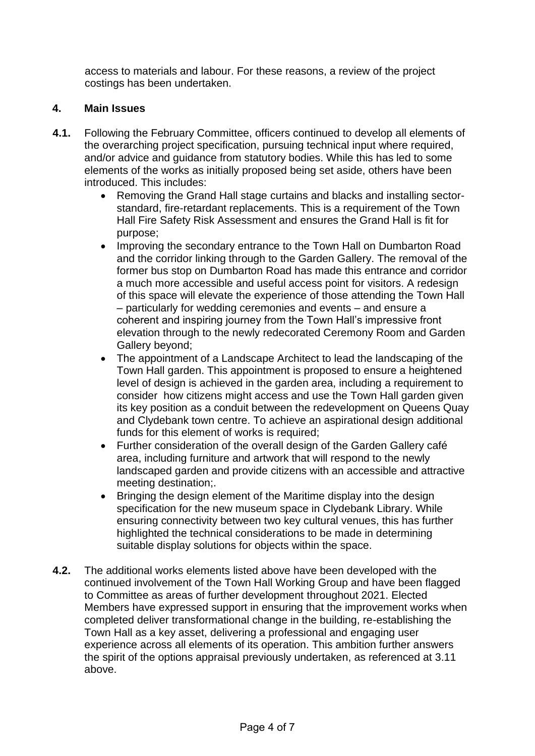access to materials and labour. For these reasons, a review of the project costings has been undertaken.

# **4. Main Issues**

- **4.1.** Following the February Committee, officers continued to develop all elements of the overarching project specification, pursuing technical input where required, and/or advice and guidance from statutory bodies. While this has led to some elements of the works as initially proposed being set aside, others have been introduced. This includes:
	- Removing the Grand Hall stage curtains and blacks and installing sectorstandard, fire-retardant replacements. This is a requirement of the Town Hall Fire Safety Risk Assessment and ensures the Grand Hall is fit for purpose;
	- Improving the secondary entrance to the Town Hall on Dumbarton Road and the corridor linking through to the Garden Gallery. The removal of the former bus stop on Dumbarton Road has made this entrance and corridor a much more accessible and useful access point for visitors. A redesign of this space will elevate the experience of those attending the Town Hall – particularly for wedding ceremonies and events – and ensure a coherent and inspiring journey from the Town Hall's impressive front elevation through to the newly redecorated Ceremony Room and Garden Gallery beyond;
	- The appointment of a Landscape Architect to lead the landscaping of the Town Hall garden. This appointment is proposed to ensure a heightened level of design is achieved in the garden area, including a requirement to consider how citizens might access and use the Town Hall garden given its key position as a conduit between the redevelopment on Queens Quay and Clydebank town centre. To achieve an aspirational design additional funds for this element of works is required;
	- Further consideration of the overall design of the Garden Gallery café area, including furniture and artwork that will respond to the newly landscaped garden and provide citizens with an accessible and attractive meeting destination;.
	- Bringing the design element of the Maritime display into the design specification for the new museum space in Clydebank Library. While ensuring connectivity between two key cultural venues, this has further highlighted the technical considerations to be made in determining suitable display solutions for objects within the space.
- **4.2.** The additional works elements listed above have been developed with the continued involvement of the Town Hall Working Group and have been flagged to Committee as areas of further development throughout 2021. Elected Members have expressed support in ensuring that the improvement works when completed deliver transformational change in the building, re-establishing the Town Hall as a key asset, delivering a professional and engaging user experience across all elements of its operation. This ambition further answers the spirit of the options appraisal previously undertaken, as referenced at 3.11 above.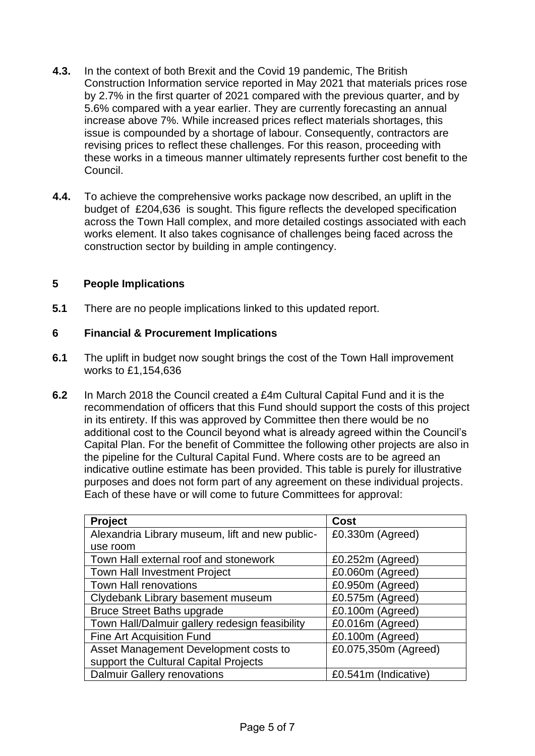- **4.3.** In the context of both Brexit and the Covid 19 pandemic, The British Construction Information service reported in May 2021 that materials prices rose by 2.7% in the first quarter of 2021 compared with the previous quarter, and by 5.6% compared with a year earlier. They are currently forecasting an annual increase above 7%. While increased prices reflect materials shortages, this issue is compounded by a shortage of labour. Consequently, contractors are revising prices to reflect these challenges. For this reason, proceeding with these works in a timeous manner ultimately represents further cost benefit to the Council.
- **4.4.** To achieve the comprehensive works package now described, an uplift in the budget of £204,636 is sought. This figure reflects the developed specification across the Town Hall complex, and more detailed costings associated with each works element. It also takes cognisance of challenges being faced across the construction sector by building in ample contingency.

### **5 People Implications**

**5.1** There are no people implications linked to this updated report.

### **6 Financial & Procurement Implications**

- **6.1** The uplift in budget now sought brings the cost of the Town Hall improvement works to £1,154,636
- **6.2** In March 2018 the Council created a £4m Cultural Capital Fund and it is the recommendation of officers that this Fund should support the costs of this project in its entirety. If this was approved by Committee then there would be no additional cost to the Council beyond what is already agreed within the Council's Capital Plan. For the benefit of Committee the following other projects are also in the pipeline for the Cultural Capital Fund. Where costs are to be agreed an indicative outline estimate has been provided. This table is purely for illustrative purposes and does not form part of any agreement on these individual projects. Each of these have or will come to future Committees for approval:

| <b>Project</b>                                  | Cost                 |
|-------------------------------------------------|----------------------|
| Alexandria Library museum, lift and new public- | £0.330m (Agreed)     |
| use room                                        |                      |
| Town Hall external roof and stonework           | $£0.252m$ (Agreed)   |
| <b>Town Hall Investment Project</b>             | £0.060m (Agreed)     |
| <b>Town Hall renovations</b>                    | £0.950m (Agreed)     |
| Clydebank Library basement museum               | £0.575m (Agreed)     |
| <b>Bruce Street Baths upgrade</b>               | £0.100m (Agreed)     |
| Town Hall/Dalmuir gallery redesign feasibility  | £0.016m (Agreed)     |
| <b>Fine Art Acquisition Fund</b>                | £0.100m (Agreed)     |
| Asset Management Development costs to           | £0.075,350m (Agreed) |
| support the Cultural Capital Projects           |                      |
| <b>Dalmuir Gallery renovations</b>              | £0.541m (Indicative) |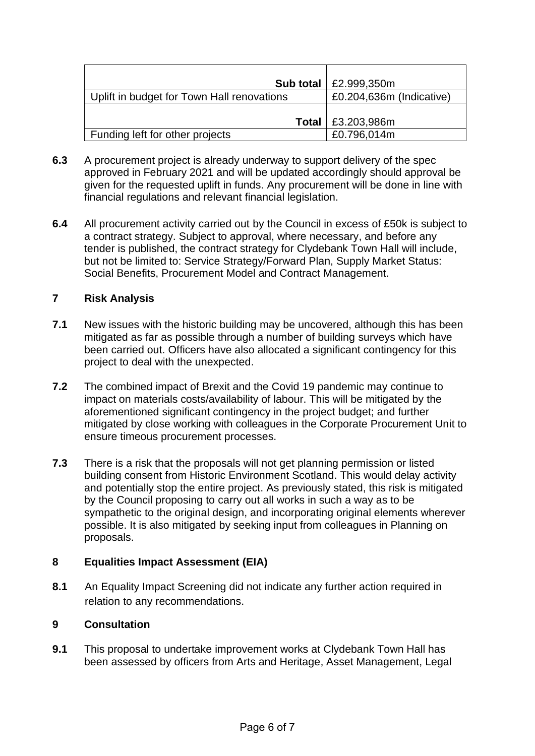|                                            | <b>Sub total</b>   £2.999,350m |
|--------------------------------------------|--------------------------------|
| Uplift in budget for Town Hall renovations | £0.204,636m (Indicative)       |
|                                            |                                |
|                                            | <b>Total</b>   £3.203,986m     |
| Funding left for other projects            | £0.796,014m                    |

- **6.3** A procurement project is already underway to support delivery of the spec approved in February 2021 and will be updated accordingly should approval be given for the requested uplift in funds. Any procurement will be done in line with financial regulations and relevant financial legislation.
- **6.4** All procurement activity carried out by the Council in excess of £50k is subject to a contract strategy. Subject to approval, where necessary, and before any tender is published, the contract strategy for Clydebank Town Hall will include, but not be limited to: Service Strategy/Forward Plan, Supply Market Status: Social Benefits, Procurement Model and Contract Management.

### **7 Risk Analysis**

- **7.1** New issues with the historic building may be uncovered, although this has been mitigated as far as possible through a number of building surveys which have been carried out. Officers have also allocated a significant contingency for this project to deal with the unexpected.
- **7.2** The combined impact of Brexit and the Covid 19 pandemic may continue to impact on materials costs/availability of labour. This will be mitigated by the aforementioned significant contingency in the project budget; and further mitigated by close working with colleagues in the Corporate Procurement Unit to ensure timeous procurement processes.
- **7.3** There is a risk that the proposals will not get planning permission or listed building consent from Historic Environment Scotland. This would delay activity and potentially stop the entire project. As previously stated, this risk is mitigated by the Council proposing to carry out all works in such a way as to be sympathetic to the original design, and incorporating original elements wherever possible. It is also mitigated by seeking input from colleagues in Planning on proposals.

# **8 Equalities Impact Assessment (EIA)**

**8.1** An Equality Impact Screening did not indicate any further action required in relation to any recommendations.

### **9 Consultation**

**9.1** This proposal to undertake improvement works at Clydebank Town Hall has been assessed by officers from Arts and Heritage, Asset Management, Legal